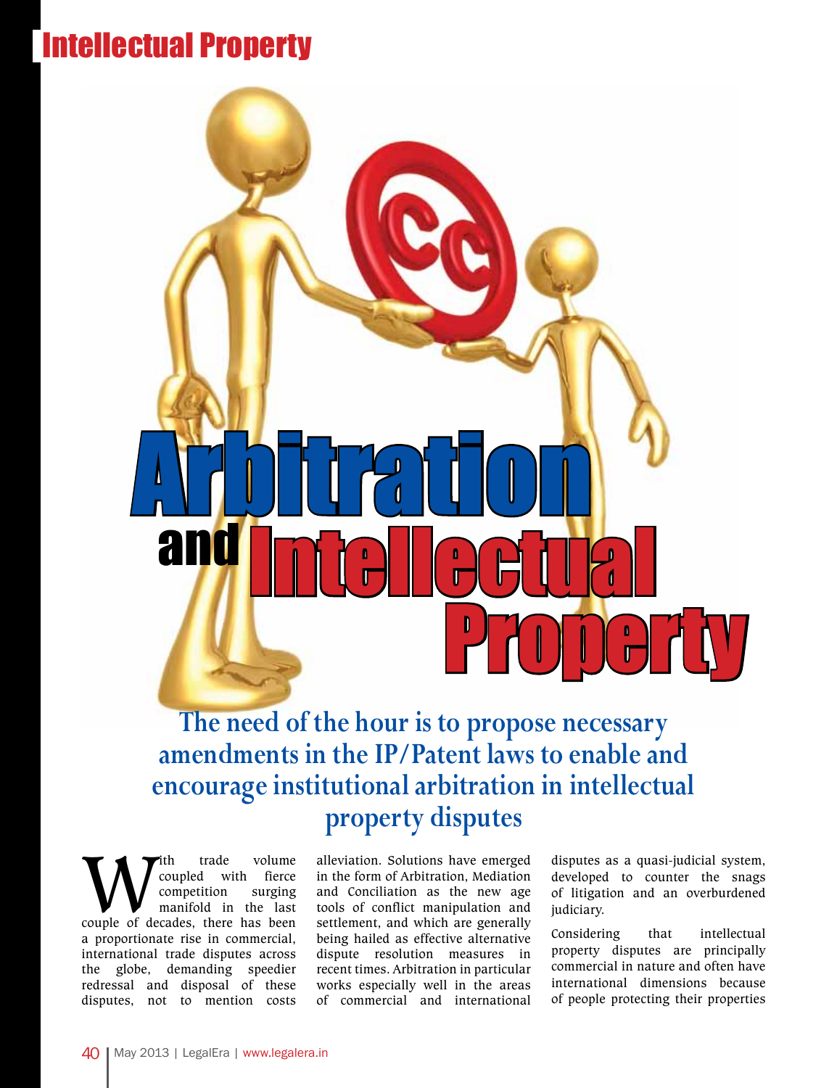## Intellectual Property



**The need of the hour is to propose necessary amendments in the IP/Patent laws to enable and encourage institutional arbitration in intellectual property disputes** 

With trade volume<br>
coupled with fierce<br>
competition surging<br>
couple of decades, there has been coupled with fierce competition surging manifold in the last a proportionate rise in commercial, international trade disputes across the globe, demanding speedier redressal and disposal of these disputes, not to mention costs

alleviation. Solutions have emerged in the form of Arbitration, Mediation and Conciliation as the new age tools of conflict manipulation and settlement, and which are generally being hailed as effective alternative dispute resolution measures in recent times. Arbitration in particular works especially well in the areas of commercial and international

disputes as a quasi-judicial system, developed to counter the snags of litigation and an overburdened judiciary.

Considering that intellectual property disputes are principally commercial in nature and often have international dimensions because of people protecting their properties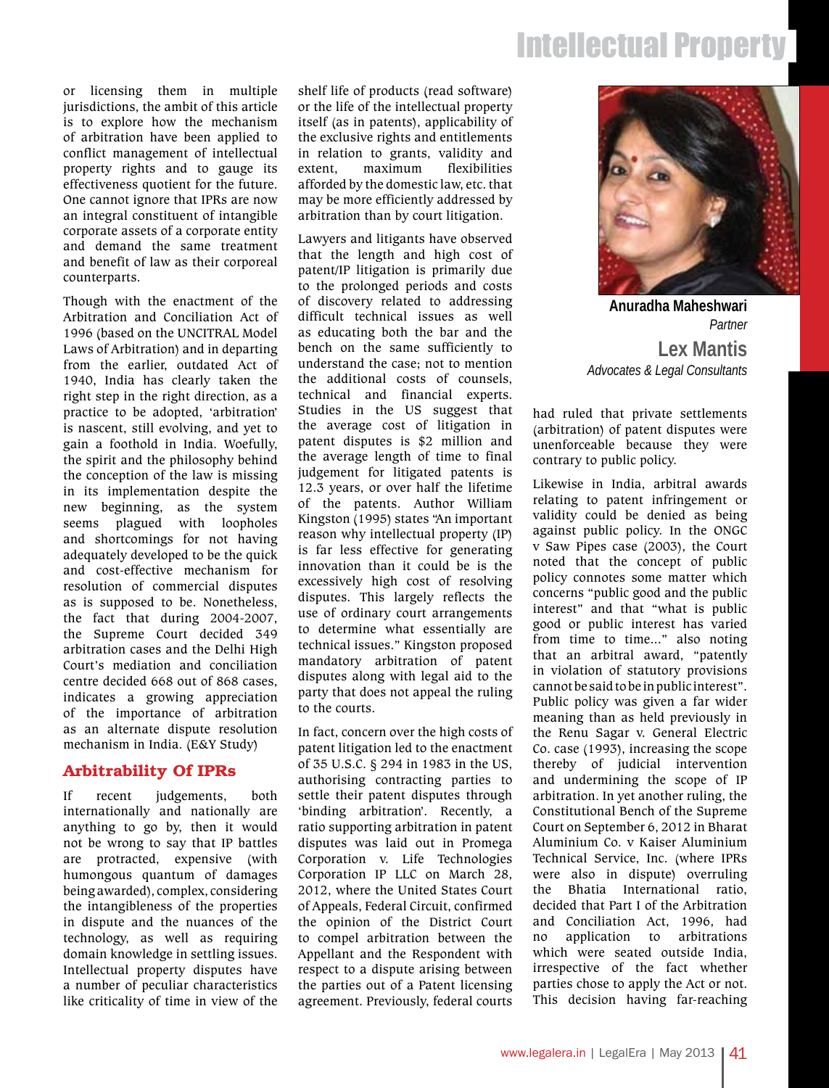# Intellectual Property

or licensing them in multiple jurisdictions, the ambit of this article is to explore how the mechanism of arbitration have been applied to conflict management of intellectual property rights and to gauge its effectiveness quotient for the future. One cannot ignore that IPRs are now an integral constituent of intangible corporate assets of a corporate entity and demand the same treatment and benefit of law as their corporeal counterparts.

Though with the enactment of the Arbitration and Conciliation Act of 1996 (based on the UNCITRAL Model Laws of Arbitration) and in departing from the earlier, outdated Act of 1940, India has clearly taken the right step in the right direction, as a practice to be adopted, 'arbitration' is nascent, still evolving, and yet to gain a foothold in India. Woefully, the spirit and the philosophy behind the conception of the law is missing in its implementation despite the new beginning, as the system seems plagued with loopholes and shortcomings for not having adequately developed to be the quick and cost-effective mechanism for resolution of commercial disputes as is supposed to be. Nonetheless, the fact that during 2004-2007, the Supreme Court decided 349 arbitration cases and the Delhi High Court's mediation and conciliation centre decided 668 out of 868 cases, indicates a growing appreciation of the importance of arbitration as an alternate dispute resolution mechanism in India. (E&Y Study)

#### Arbitrability Of IPRs

If recent judgements, both internationally and nationally are anything to go by, then it would not be wrong to say that IP battles are protracted, expensive (with humongous quantum of damages being awarded), complex, considering the intangibleness of the properties in dispute and the nuances of the technology, as well as requiring domain knowledge in settling issues. Intellectual property disputes have a number of peculiar characteristics like criticality of time in view of the shelf life of products (read software) or the life of the intellectual property itself (as in patents), applicability of the exclusive rights and entitlements in relation to grants, validity and extent, maximum flexibilities afforded by the domestic law, etc. that may be more efficiently addressed by arbitration than by court litigation.

Lawyers and litigants have observed that the length and high cost of patent/IP litigation is primarily due to the prolonged periods and costs of discovery related to addressing difficult technical issues as well as educating both the bar and the bench on the same sufficiently to understand the case; not to mention the additional costs of counsels, technical and financial experts. Studies in the US suggest that the average cost of litigation in patent disputes is \$2 million and the average length of time to final judgement for litigated patents is 12.3 years, or over half the lifetime of the patents. Author William Kingston (1995) states "An important reason why intellectual property (IP) is far less effective for generating innovation than it could be is the excessively high cost of resolving disputes. This largely reflects the use of ordinary court arrangements to determine what essentially are technical issues." Kingston proposed mandatory arbitration of patent disputes along with legal aid to the party that does not appeal the ruling to the courts.

In fact, concern over the high costs of patent litigation led to the enactment of 35 U.S.C. § 294 in 1983 in the US, authorising contracting parties to settle their patent disputes through 'binding arbitration'. Recently, a ratio supporting arbitration in patent disputes was laid out in Promega Corporation v. Life Technologies Corporation IP LLC on March 28, 2012, where the United States Court of Appeals, Federal Circuit, confirmed the opinion of the District Court to compel arbitration between the Appellant and the Respondent with respect to a dispute arising between the parties out of a Patent licensing agreement. Previously, federal courts



*Partner* **Anuradha Maheshwari Lex Mantis**  *Advocates & Legal Consultants*

had ruled that private settlements (arbitration) of patent disputes were unenforceable because they were contrary to public policy.

Likewise in India, arbitral awards relating to patent infringement or validity could be denied as being against public policy. In the ONGC v Saw Pipes case (2003), the Court noted that the concept of public policy connotes some matter which concerns "public good and the public interest" and that "what is public good or public interest has varied from time to time..." also noting that an arbitral award, "patently in violation of statutory provisions cannot be said to be in public interest". Public policy was given a far wider meaning than as held previously in the Renu Sagar v. General Electric Co. case (1993), increasing the scope thereby of judicial intervention and undermining the scope of IP arbitration. In yet another ruling, the Constitutional Bench of the Supreme Court on September 6, 2012 in Bharat Aluminium Co. v Kaiser Aluminium Technical Service, Inc. (where IPRs were also in dispute) overruling the Bhatia International ratio, decided that Part I of the Arbitration and Conciliation Act, 1996, had no application to arbitrations which were seated outside India, irrespective of the fact whether parties chose to apply the Act or not. This decision having far-reaching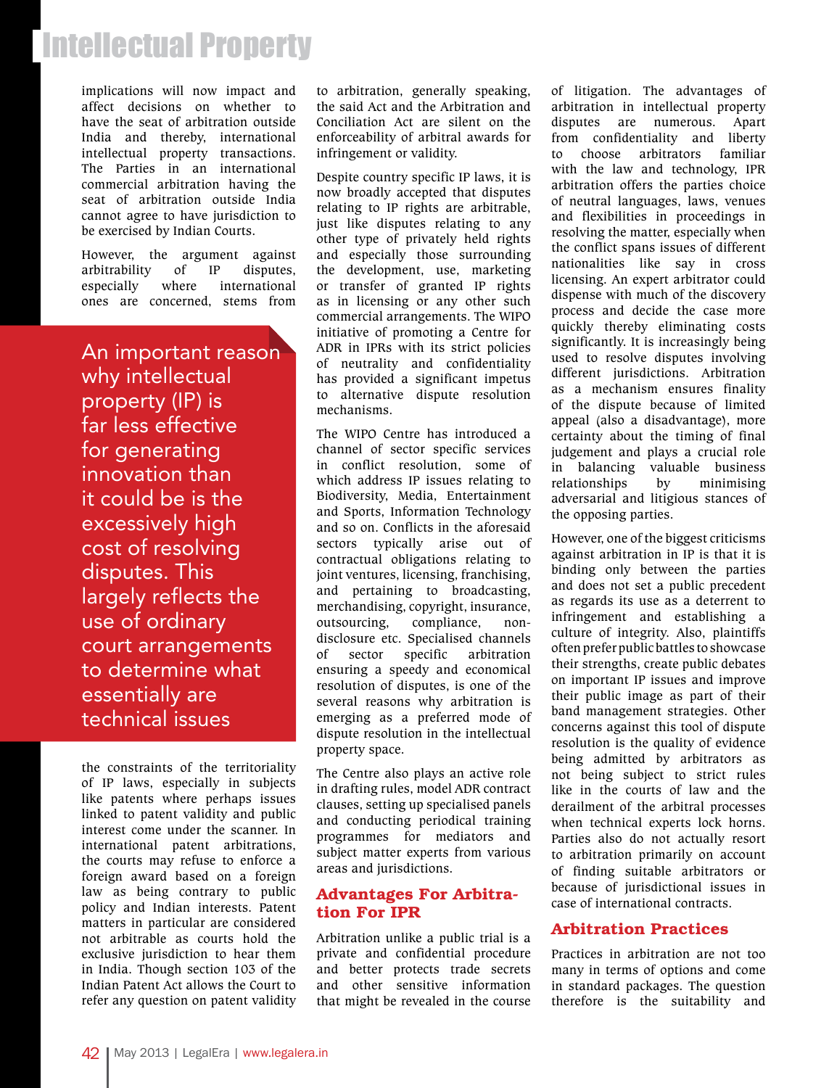### Intellectual Property

implications will now impact and affect decisions on whether to have the seat of arbitration outside India and thereby, international intellectual property transactions. The Parties in an international commercial arbitration having the seat of arbitration outside India cannot agree to have jurisdiction to be exercised by Indian Courts.

However, the argument against arbitrability of IP disputes, especially where international ones are concerned, stems from

An important reason why intellectual property (IP) is far less effective for generating innovation than it could be is the excessively high cost of resolving disputes. This largely reflects the use of ordinary court arrangements to determine what essentially are technical issues

the constraints of the territoriality of IP laws, especially in subjects like patents where perhaps issues linked to patent validity and public interest come under the scanner. In international patent arbitrations, the courts may refuse to enforce a foreign award based on a foreign law as being contrary to public policy and Indian interests. Patent matters in particular are considered not arbitrable as courts hold the exclusive jurisdiction to hear them in India. Though section 103 of the Indian Patent Act allows the Court to refer any question on patent validity to arbitration, generally speaking, the said Act and the Arbitration and Conciliation Act are silent on the enforceability of arbitral awards for infringement or validity.

Despite country specific IP laws, it is now broadly accepted that disputes relating to IP rights are arbitrable, just like disputes relating to any other type of privately held rights and especially those surrounding the development, use, marketing or transfer of granted IP rights as in licensing or any other such commercial arrangements. The WIPO initiative of promoting a Centre for ADR in IPRs with its strict policies of neutrality and confidentiality has provided a significant impetus to alternative dispute resolution mechanisms.

The WIPO Centre has introduced a channel of sector specific services in conflict resolution, some of which address IP issues relating to Biodiversity, Media, Entertainment and Sports, Information Technology and so on. Conflicts in the aforesaid sectors typically arise out of contractual obligations relating to joint ventures, licensing, franchising, and pertaining to broadcasting, merchandising, copyright, insurance, outsourcing, compliance, nondisclosure etc. Specialised channels of sector specific arbitration ensuring a speedy and economical resolution of disputes, is one of the several reasons why arbitration is emerging as a preferred mode of dispute resolution in the intellectual property space.

The Centre also plays an active role in drafting rules, model ADR contract clauses, setting up specialised panels and conducting periodical training programmes for mediators and subject matter experts from various areas and jurisdictions.

#### Advantages For Arbitration For IPR

Arbitration unlike a public trial is a private and confidential procedure and better protects trade secrets and other sensitive information that might be revealed in the course

of litigation. The advantages of arbitration in intellectual property disputes are numerous. Apart from confidentiality and liberty to choose arbitrators familiar with the law and technology, IPR arbitration offers the parties choice of neutral languages, laws, venues and flexibilities in proceedings in resolving the matter, especially when the conflict spans issues of different nationalities like say in cross licensing. An expert arbitrator could dispense with much of the discovery process and decide the case more quickly thereby eliminating costs significantly. It is increasingly being used to resolve disputes involving different jurisdictions. Arbitration as a mechanism ensures finality of the dispute because of limited appeal (also a disadvantage), more certainty about the timing of final judgement and plays a crucial role in balancing valuable business relationships by minimising adversarial and litigious stances of the opposing parties.

However, one of the biggest criticisms against arbitration in IP is that it is binding only between the parties and does not set a public precedent as regards its use as a deterrent to infringement and establishing a culture of integrity. Also, plaintiffs often prefer public battles to showcase their strengths, create public debates on important IP issues and improve their public image as part of their band management strategies. Other concerns against this tool of dispute resolution is the quality of evidence being admitted by arbitrators as not being subject to strict rules like in the courts of law and the derailment of the arbitral processes when technical experts lock horns. Parties also do not actually resort to arbitration primarily on account of finding suitable arbitrators or because of jurisdictional issues in case of international contracts.

#### Arbitration Practices

Practices in arbitration are not too many in terms of options and come in standard packages. The question therefore is the suitability and